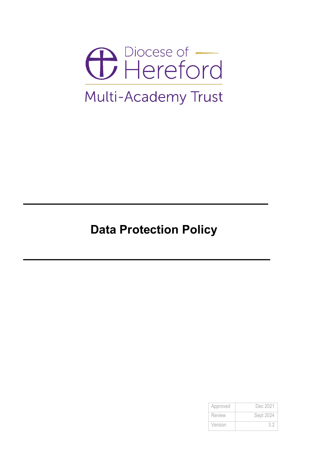

# **Data Protection Policy**

| Approved      | Dec 2021  |
|---------------|-----------|
| <b>Review</b> | Sept 2024 |
| Version       |           |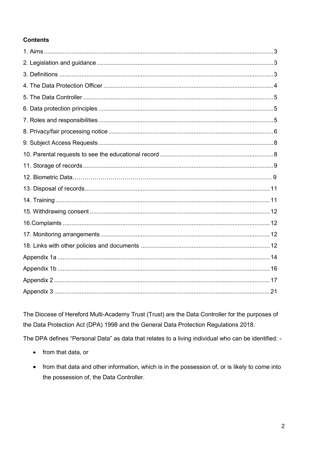# **Contents**

The Diocese of Hereford Multi-Academy Trust (Trust) are the Data Controller for the purposes of the Data Protection Act (DPA) 1998 and the General Data Protection Regulations 2018.

The DPA defines "Personal Data" as data that relates to a living individual who can be identified: -

- from that data, or
- from that data and other information, which is in the possession of, or is likely to come into the possession of, the Data Controller.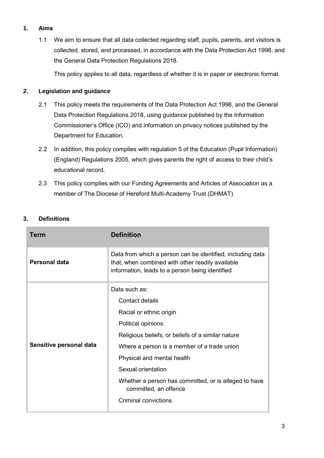# **1. Aims**

1.1 We aim to ensure that all data collected regarding staff, pupils, parents, and visitors is collected, stored, and processed, in accordance with the Data Protection Act 1998, and the General Data Protection Regulations 2018.

This policy applies to all data, regardless of whether it is in paper or electronic format.

# **2. Legislation and guidance**

- 2.1 This policy meets the requirements of the [Data Protection Act 1998,](http://www.legislation.gov.uk/ukpga/1998/29/contents) and the General Data Protection Regulations 2018, using guidance [published by the Information](https://ico.org.uk/for-organisations/guide-to-data-protection/)  [Commissioner's Office](https://ico.org.uk/for-organisations/guide-to-data-protection/) (ICO) and information on [privacy notices published by the](https://www.gov.uk/government/publications/data-protection-and-privacy-privacy-notices)  [Department for Education.](https://www.gov.uk/government/publications/data-protection-and-privacy-privacy-notices)
- 2.2 In addition, this policy complies with regulation 5 of the Education (Pupil Information) (England) Regulations 2005, which gives parents the right of access to their child's educational record.
- 2.3 This policy complies with our Funding Agreements and Articles of Association as a member of The Diocese of Hereford Multi-Academy Trust (DHMAT)

| Term                    | <b>Definition</b>                                                                                                                                                 |
|-------------------------|-------------------------------------------------------------------------------------------------------------------------------------------------------------------|
| Personal data           | Data from which a person can be identified, including data<br>that, when combined with other readily available<br>information, leads to a person being identified |
| Sensitive personal data | Data such as:<br>Contact details                                                                                                                                  |
|                         | Racial or ethnic origin                                                                                                                                           |
|                         | Political opinions                                                                                                                                                |
|                         | Religious beliefs, or beliefs of a similar nature                                                                                                                 |
|                         | Where a person is a member of a trade union                                                                                                                       |
|                         | Physical and mental health                                                                                                                                        |
|                         | Sexual orientation                                                                                                                                                |
|                         | Whether a person has committed, or is alleged to have<br>committed, an offence                                                                                    |
|                         | Criminal convictions                                                                                                                                              |

# **3. Definitions**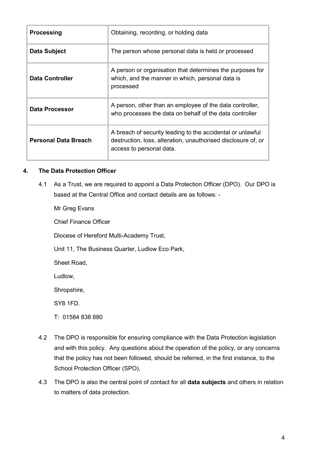| <b>Processing</b>           | Obtaining, recording, or holding data                                                                                                                   |
|-----------------------------|---------------------------------------------------------------------------------------------------------------------------------------------------------|
| Data Subject                | The person whose personal data is held or processed                                                                                                     |
| Data Controller             | A person or organisation that determines the purposes for<br>which, and the manner in which, personal data is<br>processed                              |
| Data Processor              | A person, other than an employee of the data controller,<br>who processes the data on behalf of the data controller                                     |
| <b>Personal Data Breach</b> | A breach of security leading to the accidental or unlawful<br>destruction, loss, alteration, unauthorised disclosure of, or<br>access to personal data. |

## **4. The Data Protection Officer**

4.1 As a Trust, we are required to appoint a Data Protection Officer (DPO). Our DPO is based at the Central Office and contact details are as follows: -

Mr Greg Evans

Chief Finance Officer

Diocese of Hereford Multi-Academy Trust,

Unit 11, The Business Quarter, Ludlow Eco Park,

Sheet Road,

Ludlow,

Shropshire,

SY8 1FD.

T: 01584 838 880

- 4.2 The DPO is responsible for ensuring compliance with the Data Protection legislation and with this policy. Any questions about the operation of the policy, or any concerns that the policy has not been followed, should be referred, in the first instance, to the School Protection Officer (SPO).
- 4.3 The DPO is also the central point of contact for all **data subjects** and others in relation to matters of data protection.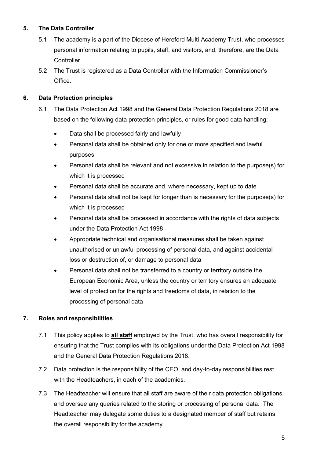# **5. The Data Controller**

- 5.1 The academy is a part of the Diocese of Hereford Multi-Academy Trust, who processes personal information relating to pupils, staff, and visitors, and, therefore, are the Data Controller.
- 5.2 The Trust is registered as a Data Controller with the Information Commissioner's Office.

# **6. Data Protection principles**

- 6.1 The Data Protection Act 1998 and the General Data Protection Regulations 2018 are based on the following data protection principles, or rules for good data handling:
	- Data shall be processed fairly and lawfully
	- Personal data shall be obtained only for one or more specified and lawful purposes
	- Personal data shall be relevant and not excessive in relation to the purpose(s) for which it is processed
	- Personal data shall be accurate and, where necessary, kept up to date
	- Personal data shall not be kept for longer than is necessary for the purpose(s) for which it is processed
	- Personal data shall be processed in accordance with the rights of data subjects under the Data Protection Act 1998
	- Appropriate technical and organisational measures shall be taken against unauthorised or unlawful processing of personal data, and against accidental loss or destruction of, or damage to personal data
	- Personal data shall not be transferred to a country or territory outside the European Economic Area, unless the country or territory ensures an adequate level of protection for the rights and freedoms of data, in relation to the processing of personal data

# **7. Roles and responsibilities**

- 7.1 This policy applies to **all staff** employed by the Trust, who has overall responsibility for ensuring that the Trust complies with its obligations under the Data Protection Act 1998 and the General Data Protection Regulations 2018.
- 7.2 Data protection is the responsibility of the CEO, and day-to-day responsibilities rest with the Headteachers, in each of the academies.
- 7.3 The Headteacher will ensure that all staff are aware of their data protection obligations, and oversee any queries related to the storing or processing of personal data. The Headteacher may delegate some duties to a designated member of staff but retains the overall responsibility for the academy.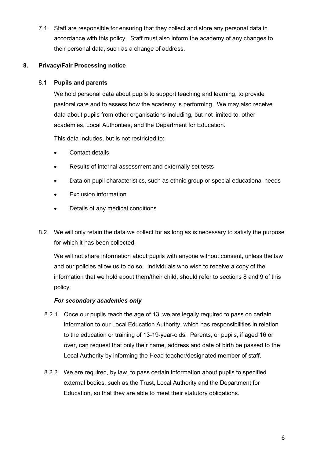7.4 Staff are responsible for ensuring that they collect and store any personal data in accordance with this policy. Staff must also inform the academy of any changes to their personal data, such as a change of address.

# **8. Privacy/Fair Processing notice**

# 8.1 **Pupils and parents**

We hold personal data about pupils to support teaching and learning, to provide pastoral care and to assess how the academy is performing. We may also receive data about pupils from other organisations including, but not limited to, other academies, Local Authorities, and the Department for Education.

This data includes, but is not restricted to:

- Contact details
- Results of internal assessment and externally set tests
- Data on pupil characteristics, such as ethnic group or special educational needs
- Exclusion information
- Details of any medical conditions
- 8.2 We will only retain the data we collect for as long as is necessary to satisfy the purpose for which it has been collected.

We will not share information about pupils with anyone without consent, unless the law and our policies allow us to do so. Individuals who wish to receive a copy of the information that we hold about them/their child, should refer to sections 8 and 9 of this policy.

# *For secondary academies only*

- 8.2.1 Once our pupils reach the age of 13, we are legally required to pass on certain information to our Local Education Authority, which has responsibilities in relation to the education or training of 13-19-year-olds. Parents, or pupils, if aged 16 or over, can request that only their name, address and date of birth be passed to the Local Authority by informing the Head teacher/designated member of staff.
- 8.2.2 We are required, by law, to pass certain information about pupils to specified external bodies, such as the Trust, Local Authority and the Department for Education, so that they are able to meet their statutory obligations.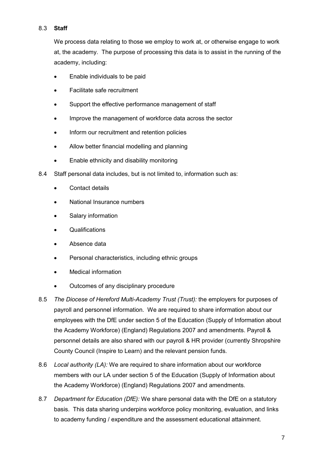# 8.3 **Staff**

We process data relating to those we employ to work at, or otherwise engage to work at, the academy. The purpose of processing this data is to assist in the running of the academy, including:

- Enable individuals to be paid
- Facilitate safe recruitment
- Support the effective performance management of staff
- Improve the management of workforce data across the sector
- Inform our recruitment and retention policies
- Allow better financial modelling and planning
- Enable ethnicity and disability monitoring
- 8.4 Staff personal data includes, but is not limited to, information such as:
	- Contact details
	- National Insurance numbers
	- Salary information
	- Qualifications
	- Absence data
	- Personal characteristics, including ethnic groups
	- Medical information
	- Outcomes of any disciplinary procedure
- 8.5 *The Diocese of Hereford Multi-Academy Trust (Trust):* the employers for purposes of payroll and personnel information. We are required to share information about our employees with the DfE under section 5 of the Education (Supply of Information about the Academy Workforce) (England) Regulations 2007 and amendments. Payroll & personnel details are also shared with our payroll & HR provider (currently Shropshire County Council (Inspire to Learn) and the relevant pension funds.
- 8.6 *Local authority (LA):* We are required to share information about our workforce members with our LA under section 5 of the Education (Supply of Information about the Academy Workforce) (England) Regulations 2007 and amendments.
- 8.7 *Department for Education (DfE):* We share personal data with the DfE on a statutory basis. This data sharing underpins workforce policy monitoring, evaluation, and links to academy funding / expenditure and the assessment educational attainment.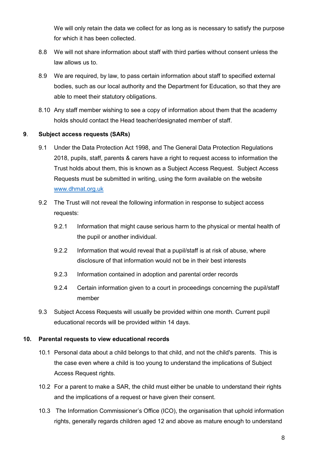We will only retain the data we collect for as long as is necessary to satisfy the purpose for which it has been collected.

- 8.8 We will not share information about staff with third parties without consent unless the law allows us to.
- 8.9 We are required, by law, to pass certain information about staff to specified external bodies, such as our local authority and the Department for Education, so that they are able to meet their statutory obligations.
- 8.10 Any staff member wishing to see a copy of information about them that the academy holds should contact the Head teacher/designated member of staff.

## **9**. **Subject access requests (SARs)**

- 9.1 Under the Data Protection Act 1998, and The General Data Protection Regulations 2018, pupils, staff, parents & carers have a right to request access to information the Trust holds about them, this is known as a Subject Access Request. Subject Access Requests must be submitted in writing, using the form available on the website [www.dhmat.org.uk](http://www.dhmat.org.uk/)
- 9.2 The Trust will not reveal the following information in response to subject access requests:
	- 9.2.1 Information that might cause serious harm to the physical or mental health of the pupil or another individual.
	- 9.2.2 Information that would reveal that a pupil/staff is at risk of abuse, where disclosure of that information would not be in their best interests
	- 9.2.3 Information contained in adoption and parental order records
	- 9.2.4 Certain information given to a court in proceedings concerning the pupil/staff member
- 9.3 Subject Access Requests will usually be provided within one month. Current pupil educational records will be provided within 14 days.

# **10. Parental requests to view educational records**

- 10.1 Personal data about a child belongs to that child, and not the child's parents. This is the case even where a child is too young to understand the implications of Subject Access Request rights.
- 10.2 For a parent to make a SAR, the child must either be unable to understand their rights and the implications of a request or have given their consent.
- 10.3 The Information Commissioner's Office (ICO), the organisation that uphold information rights, generally regards children aged 12 and above as mature enough to understand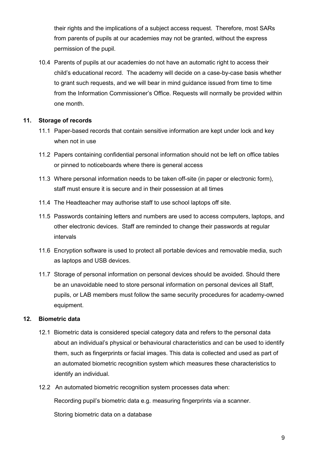their rights and the implications of a subject access request. Therefore, most SARs from parents of pupils at our academies may not be granted, without the express permission of the pupil.

10.4 Parents of pupils at our academies do not have an automatic right to access their child's educational record. The academy will decide on a case-by-case basis whether to grant such requests, and we will bear in mind guidance issued from time to time from the Information Commissioner's Office. Requests will normally be provided within one month.

# **11. Storage of records**

- 11.1 Paper-based records that contain sensitive information are kept under lock and key when not in use
- 11.2 Papers containing confidential personal information should not be left on office tables or pinned to noticeboards where there is general access
- 11.3 Where personal information needs to be taken off-site (in paper or electronic form), staff must ensure it is secure and in their possession at all times
- 11.4 The Headteacher may authorise staff to use school laptops off site.
- 11.5 Passwords containing letters and numbers are used to access computers, laptops, and other electronic devices. Staff are reminded to change their passwords at regular intervals
- 11.6 Encryption software is used to protect all portable devices and removable media, such as laptops and USB devices.
- 11.7 Storage of personal information on personal devices should be avoided. Should there be an unavoidable need to store personal information on personal devices all Staff, pupils, or LAB members must follow the same security procedures for academy-owned equipment.

# **12. Biometric data**

- 12.1 Biometric data is considered special category data and refers to the personal data about an individual's physical or behavioural characteristics and can be used to identify them, such as fingerprints or facial images. This data is collected and used as part of an automated biometric recognition system which measures these characteristics to identify an individual.
- 12.2 An automated biometric recognition system processes data when:

Recording pupil's biometric data e.g. measuring fingerprints via a scanner.

Storing biometric data on a database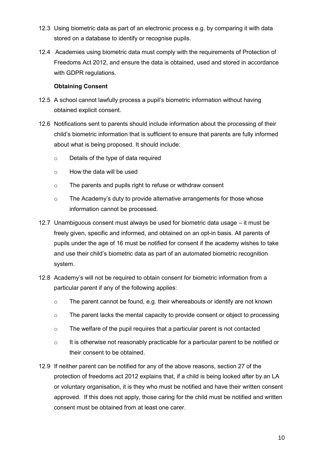- 12.3 Using biometric data as part of an electronic process e.g. by comparing it with data stored on a database to identify or recognise pupils.
- 12.4 Academies using biometric data must comply with the requirements of Protection of Freedoms Act 2012, and ensure the data is obtained, used and stored in accordance with GDPR regulations.

## **Obtaining Consent**

- 12.5 A school cannot lawfully process a pupil's biometric information without having obtained explicit consent.
- 12.6 Notifications sent to parents should include information about the processing of their child's biometric information that is sufficient to ensure that parents are fully informed about what is being proposed. It should include:
	- o Details of the type of data required
	- o How the data will be used
	- o The parents and pupils right to refuse or withdraw consent
	- o The Academy's duty to provide alternative arrangements for those whose information cannot be processed.
- 12.7 Unambiguous consent must always be used for biometric data usage it must be freely given, specific and informed, and obtained on an opt-in basis. All parents of pupils under the age of 16 must be notified for consent if the academy wishes to take and use their child's biometric data as part of an automated biometric recognition system.
- 12.8 Academy's will not be required to obtain consent for biometric information from a particular parent if any of the following applies:
	- o The parent cannot be found, e.g. their whereabouts or identify are not known
	- o The parent lacks the mental capacity to provide consent or object to processing
	- o The welfare of the pupil requires that a particular parent is not contacted
	- o It is otherwise not reasonably practicable for a particular parent to be notified or their consent to be obtained.
- 12.9 If neither parent can be notified for any of the above reasons, section 27 of the protection of freedoms act 2012 explains that, if a child is being looked after by an LA or voluntary organisation, it is they who must be notified and have their written consent approved. If this does not apply, those caring for the child must be notified and written consent must be obtained from at least one carer.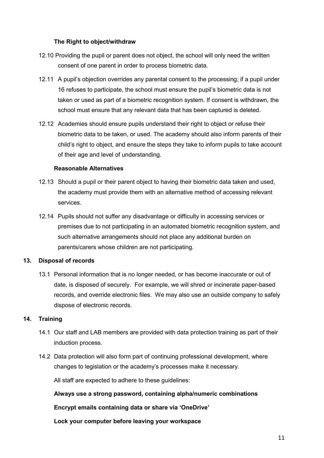## **The Right to object/withdraw**

- 12.10 Providing the pupil or parent does not object, the school will only need the written consent of one parent in order to process biometric data.
- 12.11 A pupil's objection overrides any parental consent to the processing; if a pupil under 16 refuses to participate, the school must ensure the pupil's biometric data is not taken or used as part of a biometric recognition system. If consent is withdrawn, the school must ensure that any relevant data that has been captured is deleted.
- 12.12 Academies should ensure pupils understand their right to object or refuse their biometric data to be taken, or used. The academy should also inform parents of their child's right to object, and ensure the steps they take to inform pupils to take account of their age and level of understanding.

## **Reasonable Alternatives**

- 12.13 Should a pupil or their parent object to having their biometric data taken and used, the academy must provide them with an alternative method of accessing relevant services.
- 12.14 Pupils should not suffer any disadvantage or difficulty in accessing services or premises due to not participating in an automated biometric recognition system, and such alternative arrangements should not place any additional burden on parents/carers whose children are not participating.

#### **13. Disposal of records**

13.1 Personal information that is no longer needed, or has become inaccurate or out of date, is disposed of securely. For example, we will shred or incinerate paper-based records, and override electronic files. We may also use an outside company to safely dispose of electronic records.

#### **14. Training**

- 14.1 Our staff and LAB members are provided with data protection training as part of their induction process.
- 14.2 Data protection will also form part of continuing professional development, where changes to legislation or the academy's processes make it necessary.

All staff are expected to adhere to these guidelines:

**Always use a strong password, containing alpha/numeric combinations**

#### **Encrypt emails containing data or share via 'OneDrive'**

**Lock your computer before leaving your workspace**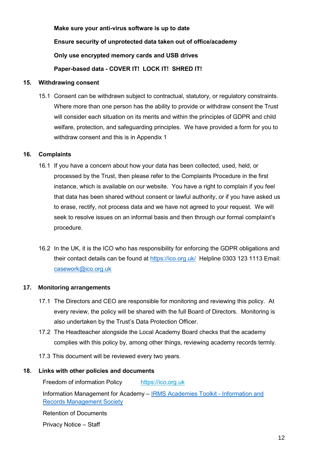**Make sure your anti-virus software is up to date Ensure security of unprotected data taken out of office/academy Only use encrypted memory cards and USB drives Paper-based data - COVER IT! LOCK IT! SHRED IT!**

#### **15. Withdrawing consent**

15.1 Consent can be withdrawn subject to contractual, statutory, or regulatory constraints. Where more than one person has the ability to provide or withdraw consent the Trust will consider each situation on its merits and within the principles of GDPR and child welfare, protection, and safeguarding principles. We have provided a form for you to withdraw consent and this is in Appendix 1

## **16. Complaints**

- 16.1 If you have a concern about how your data has been collected, used, held, or processed by the Trust, then please refer to the Complaints Procedure in the first instance, which is available on our website. You have a right to complain if you feel that data has been shared without consent or lawful authority, or if you have asked us to erase, rectify, not process data and we have not agreed to your request. We will seek to resolve issues on an informal basis and then through our formal complaint's procedure.
- 16.2 In the UK, it is the ICO who has responsibility for enforcing the GDPR obligations and their contact details can be found at<https://ico.org.uk/>Helpline 0303 123 1113 Email: [casework@ico.org.uk](mailto:casework@ico.org.uk)

# **17. Monitoring arrangements**

- 17.1 The Directors and CEO are responsible for monitoring and reviewing this policy. At every review, the policy will be shared with the full Board of Directors. Monitoring is also undertaken by the Trust's Data Protection Officer.
- 17.2 The Headteacher alongside the Local Academy Board checks that the academy complies with this policy by, among other things, reviewing academy records termly.
- 17.3 This document will be reviewed every two years.

#### **18. Links with other policies and documents**

Freedom of information Policy [https://ico.org.uk](https://ico.org.uk/)

Information Management for Academy – [IRMS Academies Toolkit -](https://irms.org.uk/page/AcademiesToolkit) Information and [Records Management Society](https://irms.org.uk/page/AcademiesToolkit)

Retention of Documents

Privacy Notice – Staff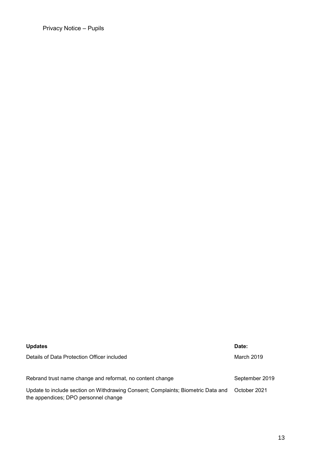Privacy Notice – Pupils

| <b>Updates</b>                                                                                                           | Date:          |
|--------------------------------------------------------------------------------------------------------------------------|----------------|
| Details of Data Protection Officer included                                                                              | March 2019     |
| Rebrand trust name change and reformat, no content change                                                                | September 2019 |
| Update to include section on Withdrawing Consent; Complaints; Biometric Data and<br>the appendices; DPO personnel change | October 2021   |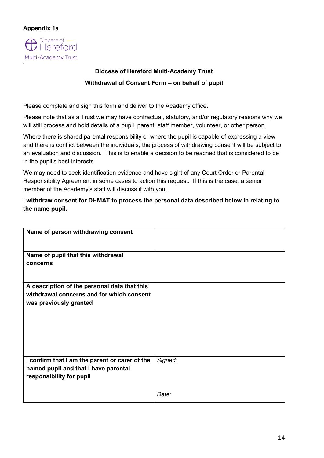# **Appendix 1a**



# **Diocese of Hereford Multi-Academy Trust Withdrawal of Consent Form – on behalf of pupil**

Please complete and sign this form and deliver to the Academy office.

Please note that as a Trust we may have contractual, statutory, and/or regulatory reasons why we will still process and hold details of a pupil, parent, staff member, volunteer, or other person.

Where there is shared parental responsibility or where the pupil is capable of expressing a view and there is conflict between the individuals; the process of withdrawing consent will be subject to an evaluation and discussion. This is to enable a decision to be reached that is considered to be in the pupil's best interests

We may need to seek identification evidence and have sight of any Court Order or Parental Responsibility Agreement in some cases to action this request. If this is the case, a senior member of the Academy's staff will discuss it with you.

**I withdraw consent for DHMAT to process the personal data described below in relating to the name pupil.** 

| Name of person withdrawing consent                                  |         |
|---------------------------------------------------------------------|---------|
| Name of pupil that this withdrawal                                  |         |
| concerns                                                            |         |
|                                                                     |         |
| A description of the personal data that this                        |         |
| withdrawal concerns and for which consent<br>was previously granted |         |
|                                                                     |         |
|                                                                     |         |
|                                                                     |         |
|                                                                     |         |
|                                                                     |         |
| I confirm that I am the parent or carer of the                      | Signed: |
| named pupil and that I have parental                                |         |
| responsibility for pupil                                            |         |
|                                                                     | Date:   |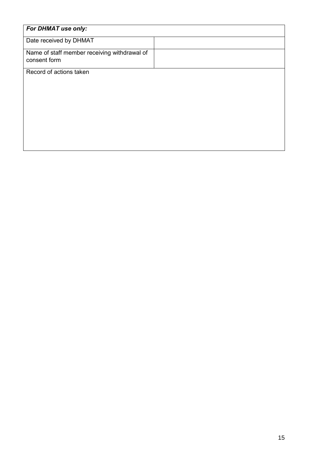| For DHMAT use only:                                          |  |
|--------------------------------------------------------------|--|
| Date received by DHMAT                                       |  |
| Name of staff member receiving withdrawal of<br>consent form |  |
| Record of actions taken                                      |  |
|                                                              |  |
|                                                              |  |
|                                                              |  |
|                                                              |  |
|                                                              |  |
|                                                              |  |
|                                                              |  |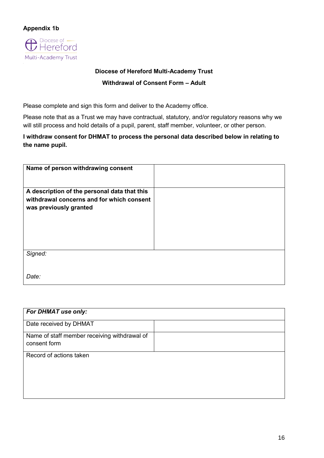

Multi-Academy Trust

**Diocese of Hereford Multi-Academy Trust Withdrawal of Consent Form – Adult**

Please complete and sign this form and deliver to the Academy office.

Please note that as a Trust we may have contractual, statutory, and/or regulatory reasons why we will still process and hold details of a pupil, parent, staff member, volunteer, or other person.

**I withdraw consent for DHMAT to process the personal data described below in relating to the name pupil.** 

| Name of person withdrawing consent           |  |
|----------------------------------------------|--|
|                                              |  |
|                                              |  |
|                                              |  |
| A description of the personal data that this |  |
|                                              |  |
| withdrawal concerns and for which consent    |  |
|                                              |  |
| was previously granted                       |  |
|                                              |  |
|                                              |  |
|                                              |  |
|                                              |  |
|                                              |  |
|                                              |  |
|                                              |  |
|                                              |  |
| Signed:                                      |  |
|                                              |  |
|                                              |  |
|                                              |  |
|                                              |  |
| Date:                                        |  |
|                                              |  |

| For DHMAT use only:                                          |  |
|--------------------------------------------------------------|--|
| Date received by DHMAT                                       |  |
| Name of staff member receiving withdrawal of<br>consent form |  |
| Record of actions taken                                      |  |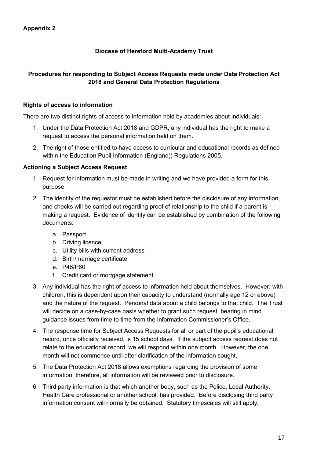# **Diocese of Hereford Multi-Academy Trust**

# **Procedures for responding to Subject Access Requests made under Data Protection Act 2018 and General Data Protection Regulations**

# **Rights of access to information**

There are two distinct rights of access to information held by academies about individuals:

- 1. Under the Data Protection Act 2018 and GDPR, any individual has the right to make a request to access the personal information held on them.
- 2. The right of those entitled to have access to curricular and educational records as defined within the Education Pupil Information (England)) Regulations 2005.

# **Actioning a Subject Access Request**

- 1. Request for information must be made in writing and we have provided a form for this purpose:
- 2. The identity of the requestor must be established before the disclosure of any information, and checks will be carried out regarding proof of relationship to the child if a parent is making a request. Evidence of identity can be established by combination of the following documents:
	- a. Passport
	- b. Driving licence
	- c. Utility bills with current address
	- d. Birth/marriage certificate
	- e. P46/P60
	- f. Credit card or mortgage statement
- 3. Any individual has the right of access to information held about themselves. However, with children, this is dependent upon their capacity to understand (normally age 12 or above) and the nature of the request. Personal data about a child belongs to that child. The Trust will decide on a case-by-case basis whether to grant such request, bearing in mind guidance issues from time to time from the Information Commissioner's Office.
- 4. The response time for Subject Access Requests for all or part of the pupil's educational record, once officially received, is 15 school days. If the subject access request does not relate to the educational record, we will respond within one month. However, the one month will not commence until after clarification of the information sought.
- 5. The Data Protection Act 2018 allows exemptions regarding the provision of some information: therefore, all information will be reviewed prior to disclosure.
- 6. Third party information is that which another body, such as the Police, Local Authority, Health Care professional or another school, has provided. Before disclosing third party information consent will normally be obtained. Statutory timescales will still apply.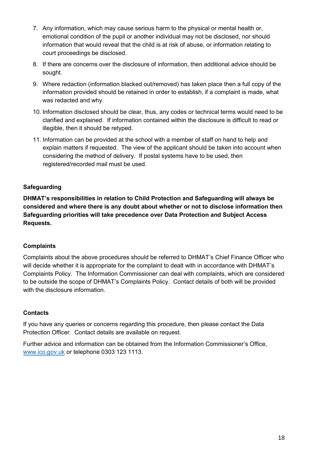- 7. Any information, which may cause serious harm to the physical or mental health or, emotional condition of the pupil or another individual may not be disclosed, nor should information that would reveal that the child is at risk of abuse, or information relating to court proceedings be disclosed.
- 8. If there are concerns over the disclosure of information, then additional advice should be sought.
- 9. Where redaction (information blacked out/removed) has taken place then a full copy of the information provided should be retained in order to establish, if a complaint is made, what was redacted and why.
- 10. Information disclosed should be clear, thus, any codes or technical terms would need to be clarified and explained. If information contained within the disclosure is difficult to read or illegible, then it should be retyped.
- 11. Information can be provided at the school with a member of staff on hand to help and explain matters if requested. The view of the applicant should be taken into account when considering the method of delivery. If postal systems have to be used, then registered/recorded mail must be used.

# **Safeguarding**

**DHMAT's responsibilities in relation to Child Protection and Safeguarding will always be considered and where there is any doubt about whether or not to disclose information then Safeguarding priorities will take precedence over Data Protection and Subject Access Requests.**

# **Complaints**

Complaints about the above procedures should be referred to DHMAT's Chief Finance Officer who will decide whether it is appropriate for the complaint to dealt with in accordance with DHMAT's Complaints Policy. The Information Commissioner can deal with complaints, which are considered to be outside the scope of DHMAT's Complaints Policy. Contact details of both will be provided with the disclosure information

#### **Contacts**

If you have any queries or concerns regarding this procedure, then please contact the Data Protection Officer. Contact details are available on request.

Further advice and information can be obtained from the Information Commissioner's Office, [www.ico.gov.uk](http://www.ico.gov.uk/) or telephone 0303 123 1113.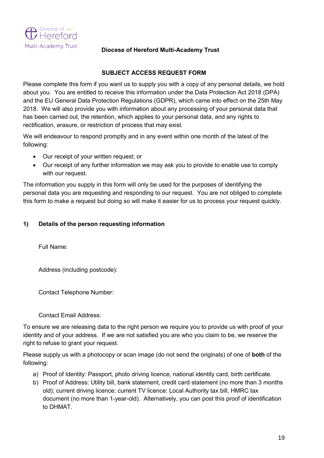

## **Diocese of Hereford Multi-Academy Trust**

# **SUBJECT ACCESS REQUEST FORM**

Please complete this form if you want us to supply you with a copy of any personal details, we hold about you. You are entitled to receive this information under the Data Protection Act 2018 (DPA) and the EU General Data Protection Regulations (GDPR), which came into effect on the 25th May 2018. We will also provide you with information about any processing of your personal data that has been carried out, the retention, which applies to your personal data, and any rights to rectification, erasure, or restriction of process that may exist.

We will endeavour to respond promptly and in any event within one month of the latest of the following:

- Our receipt of your written request; or
- Our receipt of any further information we may ask you to provide to enable use to comply with our request.

The information you supply in this form will only be used for the purposes of identifying the personal data you are requesting and responding to our request. You are not obliged to complete this form to make a request but doing so will make it easier for us to process your request quickly.

# **1) Details of the person requesting information**

Full Name:

Address (including postcode):

Contact Telephone Number:

Contact Email Address:

To ensure we are releasing data to the right person we require you to provide us with proof of your identity and of your address. If we are not satisfied you are who you claim to be, we reserve the right to refuse to grant your request.

Please supply us with a photocopy or scan image (do not send the originals) of one of **both** of the following:

- a) Proof of Identity: Passport, photo driving licence, national identity card, birth certificate.
- b) Proof of Address: Utility bill, bank statement, credit card statement (no more than 3 months old); current driving licence; current TV licence: Local Authority tax bill, HMRC tax document (no more than 1-year-old). Alternatively, you can post this proof of identification to DHMAT.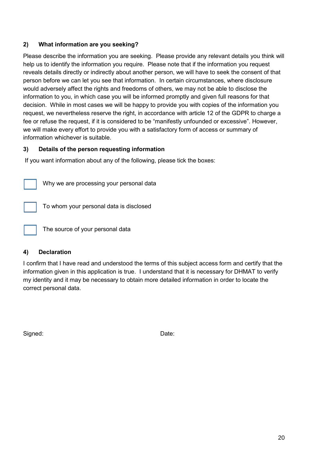# **2) What information are you seeking?**

Please describe the information you are seeking. Please provide any relevant details you think will help us to identify the information you require. Please note that if the information you request reveals details directly or indirectly about another person, we will have to seek the consent of that person before we can let you see that information. In certain circumstances, where disclosure would adversely affect the rights and freedoms of others, we may not be able to disclose the information to you, in which case you will be informed promptly and given full reasons for that decision. While in most cases we will be happy to provide you with copies of the information you request, we nevertheless reserve the right, in accordance with article 12 of the GDPR to charge a fee or refuse the request, if it is considered to be "manifestly unfounded or excessive". However, we will make every effort to provide you with a satisfactory form of access or summary of information whichever is suitable.

# **3) Details of the person requesting information**

If you want information about any of the following, please tick the boxes:

Why we are processing your personal data

To whom your personal data is disclosed

The source of your personal data

# **4) Declaration**

I confirm that I have read and understood the terms of this subject access form and certify that the information given in this application is true. I understand that it is necessary for DHMAT to verify my identity and it may be necessary to obtain more detailed information in order to locate the correct personal data.

Signed: Date: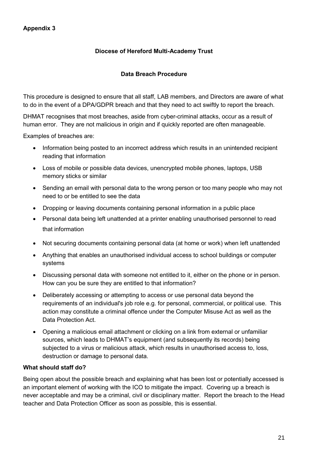# **Appendix 3**

# **Diocese of Hereford Multi-Academy Trust**

# **Data Breach Procedure**

This procedure is designed to ensure that all staff, LAB members, and Directors are aware of what to do in the event of a DPA/GDPR breach and that they need to act swiftly to report the breach.

DHMAT recognises that most breaches, aside from cyber-criminal attacks, occur as a result of human error. They are not malicious in origin and if quickly reported are often manageable.

Examples of breaches are:

- Information being posted to an incorrect address which results in an unintended recipient reading that information
- Loss of mobile or possible data devices, unencrypted mobile phones, laptops, USB memory sticks or similar
- Sending an email with personal data to the wrong person or too many people who may not need to or be entitled to see the data
- Dropping or leaving documents containing personal information in a public place
- Personal data being left unattended at a printer enabling unauthorised personnel to read that information
- Not securing documents containing personal data (at home or work) when left unattended
- Anything that enables an unauthorised individual access to school buildings or computer systems
- Discussing personal data with someone not entitled to it, either on the phone or in person. How can you be sure they are entitled to that information?
- Deliberately accessing or attempting to access or use personal data beyond the requirements of an individual's job role e.g. for personal, commercial, or political use. This action may constitute a criminal offence under the Computer Misuse Act as well as the Data Protection Act.
- Opening a malicious email attachment or clicking on a link from external or unfamiliar sources, which leads to DHMAT's equipment (and subsequently its records) being subjected to a virus or malicious attack, which results in unauthorised access to, loss, destruction or damage to personal data.

#### **What should staff do?**

Being open about the possible breach and explaining what has been lost or potentially accessed is an important element of working with the ICO to mitigate the impact. Covering up a breach is never acceptable and may be a criminal, civil or disciplinary matter. Report the breach to the Head teacher and Data Protection Officer as soon as possible, this is essential.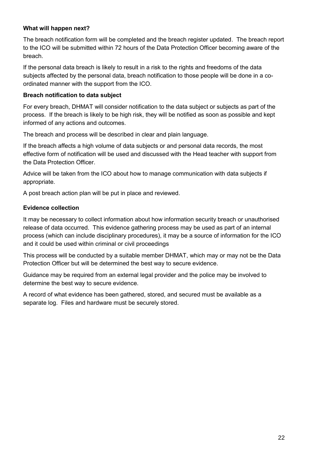# **What will happen next?**

The breach notification form will be completed and the breach register updated. The breach report to the ICO will be submitted within 72 hours of the Data Protection Officer becoming aware of the breach.

If the personal data breach is likely to result in a risk to the rights and freedoms of the data subjects affected by the personal data, breach notification to those people will be done in a coordinated manner with the support from the ICO.

# **Breach notification to data subject**

For every breach, DHMAT will consider notification to the data subject or subjects as part of the process. If the breach is likely to be high risk, they will be notified as soon as possible and kept informed of any actions and outcomes.

The breach and process will be described in clear and plain language.

If the breach affects a high volume of data subjects or and personal data records, the most effective form of notification will be used and discussed with the Head teacher with support from the Data Protection Officer.

Advice will be taken from the ICO about how to manage communication with data subjects if appropriate.

A post breach action plan will be put in place and reviewed.

# **Evidence collection**

It may be necessary to collect information about how information security breach or unauthorised release of data occurred. This evidence gathering process may be used as part of an internal process (which can include disciplinary procedures), it may be a source of information for the ICO and it could be used within criminal or civil proceedings

This process will be conducted by a suitable member DHMAT, which may or may not be the Data Protection Officer but will be determined the best way to secure evidence.

Guidance may be required from an external legal provider and the police may be involved to determine the best way to secure evidence.

A record of what evidence has been gathered, stored, and secured must be available as a separate log. Files and hardware must be securely stored.